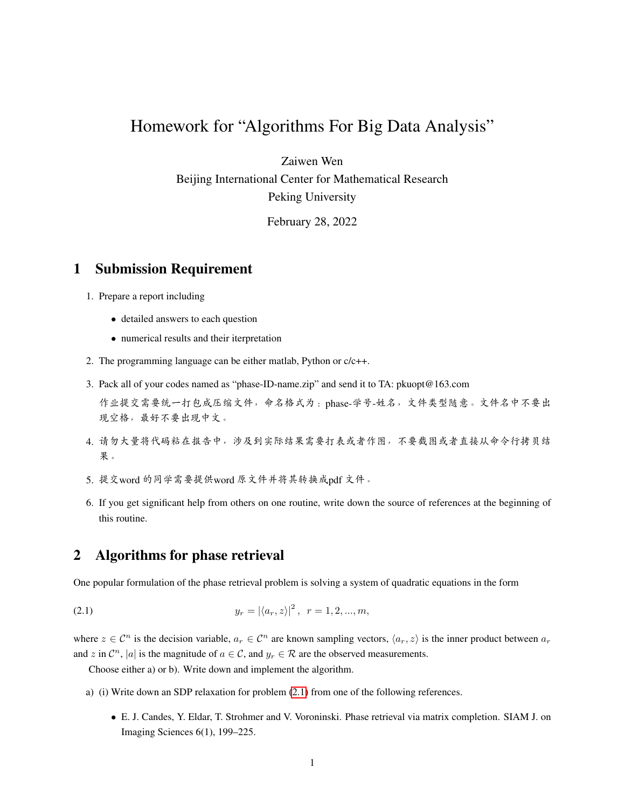## Homework for "Algorithms For Big Data Analysis"

Zaiwen Wen

Beijing International Center for Mathematical Research Peking University

February 28, 2022

## 1 Submission Requirement

- 1. Prepare a report including
	- detailed answers to each question
	- numerical results and their iterpretation
- 2. The programming language can be either matlab, Python or c/c++.
- 3. Pack all of your codes named as "phase-ID-name.zip" and send it to TA: pkuopt@163.com

<sup>作</sup>业提交需要统一打包成压缩文件,命名格式为:phase-学号-姓名,文件类型随意。文件名中不要<sup>出</sup> 现空格,最好不要出现中文。

- 4. <sup>请</sup>勿大量将代码粘在报告中,涉及到实际结果需要打表或者作图,不要截图或者直接从命令行拷贝<sup>结</sup> 果。
- 5. <sup>提</sup>交word <sup>的</sup>同学需要提供word <sup>原</sup>文件并将其转换成pdf <sup>文</sup>件。
- 6. If you get significant help from others on one routine, write down the source of references at the beginning of this routine.

## 2 Algorithms for phase retrieval

One popular formulation of the phase retrieval problem is solving a system of quadratic equations in the form

(2.1) 
$$
y_r = |\langle a_r, z \rangle|^2, \ \ r = 1, 2, ..., m,
$$

where  $z \in \mathcal{C}^n$  is the decision variable,  $a_r \in \mathcal{C}^n$  are known sampling vectors,  $\langle a_r, z \rangle$  is the inner product between  $a_r$ and z in  $\mathcal{C}^n$ , |a| is the magnitude of  $a \in \mathcal{C}$ , and  $y_r \in \mathcal{R}$  are the observed measurements.

<span id="page-0-0"></span>Choose either a) or b). Write down and implement the algorithm.

- a) (i) Write down an SDP relaxation for problem [\(2.1\)](#page-0-0) from one of the following references.
	- E. J. Candes, Y. Eldar, T. Strohmer and V. Voroninski. Phase retrieval via matrix completion. SIAM J. on Imaging Sciences 6(1), 199–225.